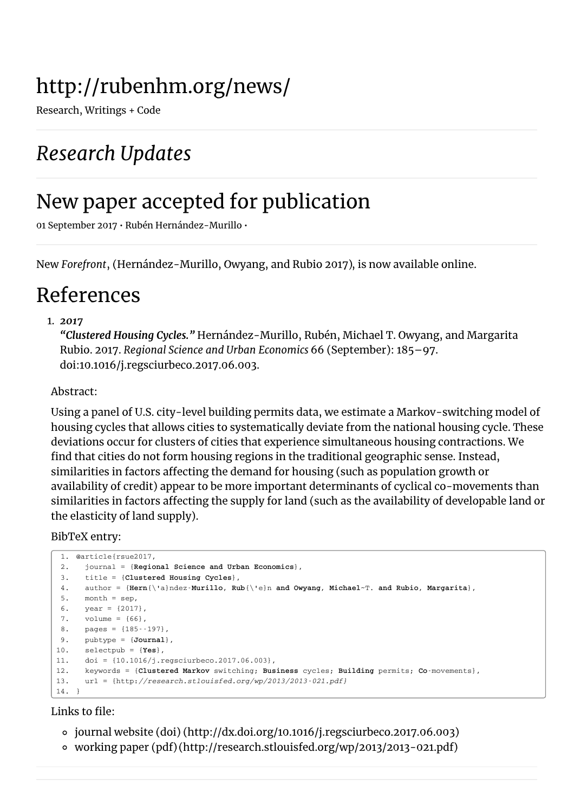# http://rubenhm.org/news/

Research, Writings + Code

## *Research Updates*

## New paper accepted for publication

01 September 2017 • Rubén Hernández-Murillo •

New *Forefront*, [\(Hernández-Murillo,](#page-0-0) Owyang, and Rubio 2017), is now available online.

## References

#### 1. *2017*

<span id="page-0-0"></span>*"Clustered Housing Cycles."* Hernández-Murillo, Rubén, Michael T. Owyang, and Margarita Rubio. 2017. *Regional Science and Urban Economics* 66 (September): 185–97. doi:10.1016/j.regsciurbeco.2017.06.003.

#### Abstract:

Using a panel of U.S. city-level building permits data, we estimate a Markov-switching model of housing cycles that allows cities to systematically deviate from the national housing cycle. These deviations occur for clusters of cities that experience simultaneous housing contractions. We find that cities do not form housing regions in the traditional geographic sense. Instead, similarities in factors affecting the demand for housing (such as population growth or availability of credit) appear to be more important determinants of cyclical co-movements than similarities in factors affecting the supply for land (such as the availability of developable land or the elasticity of land supply).

#### BibTeX entry:

```
1. @article{rsue2017,
2. journal = {Regional Science and Urban Economics},
3. title = {Clustered Housing Cycles},
4. author = {Hern{\'a}ndez-Murillo, Rub{\'e}n and Owyang, Michael~T. and Rubio, Margarita},
5. month = sep,
 6. year = {2017},
7. volume = {66},
8. pages = {185--197},
9. pubtype = {Journal},
10. selectpub = {Yes},
11. doi = {10.1016/j.regsciurbeco.2017.06.003},
12. keywords = {Clustered Markov switching; Business cycles; Building permits; Co-movements},
13. url = {http://research.stlouisfed.org/wp/2013/2013-021.pdf}
14. }
```
#### Links to file:

- journal website (doi) [\(http://dx.doi.org/10.1016/j.regsciurbeco.2017.06.003\)](http://dx.doi.org/10.1016/j.regsciurbeco.2017.06.003)
- working paper (pdf) [\(http://research.stlouisfed.org/wp/2013/2013-021.pdf\)](http://research.stlouisfed.org/wp/2013/2013-021.pdf)